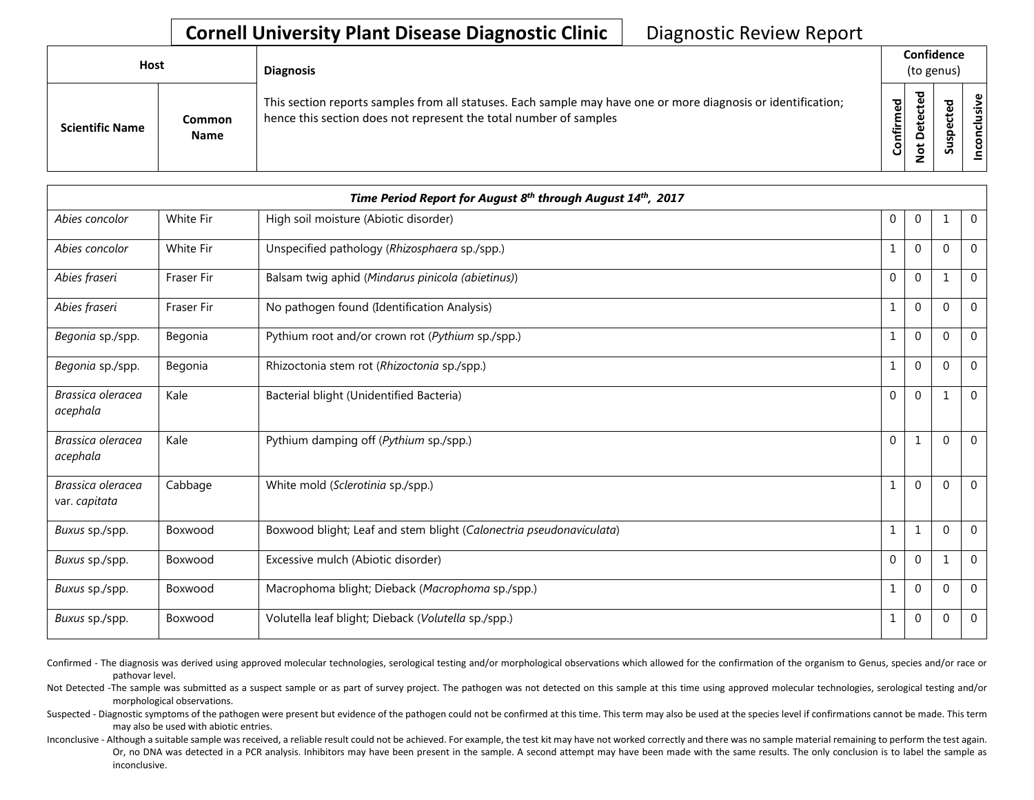## **Cornell University Plant Disease Diagnostic Clinic** | Diagnostic Review Report

| <b>Host</b>            |                       | <b>Diagnosis</b>                                                                                                                                                                   |           |              | Confidence<br>(to genus) |                       |
|------------------------|-----------------------|------------------------------------------------------------------------------------------------------------------------------------------------------------------------------------|-----------|--------------|--------------------------|-----------------------|
| <b>Scientific Name</b> | Common<br><b>Name</b> | This section reports samples from all statuses. Each sample may have one or more diagnosis or identification;<br>hence this section does not represent the total number of samples | Confirmed | ъ<br>$\circ$ | š<br>n                   | usive<br>᠊ᠣ<br>c<br>g |

|                                    |                   | Time Period Report for August 8 <sup>th</sup> through August 14 <sup>th</sup> , 2017 |              |             |              |                |
|------------------------------------|-------------------|--------------------------------------------------------------------------------------|--------------|-------------|--------------|----------------|
| Abies concolor                     | White Fir         | High soil moisture (Abiotic disorder)                                                | $\mathbf{0}$ | $\mathbf 0$ |              | $\mathbf 0$    |
| Abies concolor                     | White Fir         | Unspecified pathology (Rhizosphaera sp./spp.)                                        | 1            | $\mathbf 0$ | $\Omega$     | $\overline{0}$ |
| Abies fraseri                      | Fraser Fir        | Balsam twig aphid (Mindarus pinicola (abietinus))                                    | 0            | $\mathbf 0$ |              | $\overline{0}$ |
| Abies fraseri                      | <b>Fraser Fir</b> | No pathogen found (Identification Analysis)                                          | 1            | $\mathbf 0$ | $\Omega$     | $\mathbf 0$    |
| Begonia sp./spp.                   | Begonia           | Pythium root and/or crown rot (Pythium sp./spp.)                                     | 1            | $\mathbf 0$ | $\Omega$     | $\mathbf 0$    |
| Begonia sp./spp.                   | Begonia           | Rhizoctonia stem rot (Rhizoctonia sp./spp.)                                          | $\mathbf{1}$ | $\mathbf 0$ | $\Omega$     | $\mathbf 0$    |
| Brassica oleracea<br>acephala      | Kale              | Bacterial blight (Unidentified Bacteria)                                             | $\mathbf 0$  | $\mathbf 0$ |              | $\mathbf 0$    |
| Brassica oleracea<br>acephala      | Kale              | Pythium damping off (Pythium sp./spp.)                                               | $\mathbf{0}$ | 1           | $\Omega$     | $\mathbf 0$    |
| Brassica oleracea<br>var. capitata | Cabbage           | White mold (Sclerotinia sp./spp.)                                                    | 1            | $\mathbf 0$ | $\Omega$     | $\mathbf 0$    |
| Buxus sp./spp.                     | Boxwood           | Boxwood blight; Leaf and stem blight (Calonectria pseudonaviculata)                  | $\mathbf{1}$ | 1           | $\Omega$     | $\overline{0}$ |
| Buxus sp./spp.                     | Boxwood           | Excessive mulch (Abiotic disorder)                                                   | $\mathbf{0}$ | $\mathbf 0$ | $\mathbf{1}$ | $\mathbf 0$    |
| Buxus sp./spp.                     | Boxwood           | Macrophoma blight; Dieback (Macrophoma sp./spp.)                                     | $\mathbf{1}$ | $\mathbf 0$ | $\Omega$     | $\mathbf 0$    |
| Buxus sp./spp.                     | Boxwood           | Volutella leaf blight; Dieback (Volutella sp./spp.)                                  | 1            | $\mathbf 0$ | $\Omega$     | $\mathbf 0$    |

Confirmed - The diagnosis was derived using approved molecular technologies, serological testing and/or morphological observations which allowed for the confirmation of the organism to Genus, species and/or race or pathovar level.

Not Detected -The sample was submitted as a suspect sample or as part of survey project. The pathogen was not detected on this sample at this time using approved molecular technologies, serological testing and/or morphological observations.

Suspected - Diagnostic symptoms of the pathogen were present but evidence of the pathogen could not be confirmed at this time. This term may also be used at the species level if confirmations cannot be made. This term may also be used with abiotic entries.

Inconclusive - Although a suitable sample was received, a reliable result could not be achieved. For example, the test kit may have not worked correctly and there was no sample material remaining to perform the test again. Or, no DNA was detected in a PCR analysis. Inhibitors may have been present in the sample. A second attempt may have been made with the same results. The only conclusion is to label the sample as inconclusive.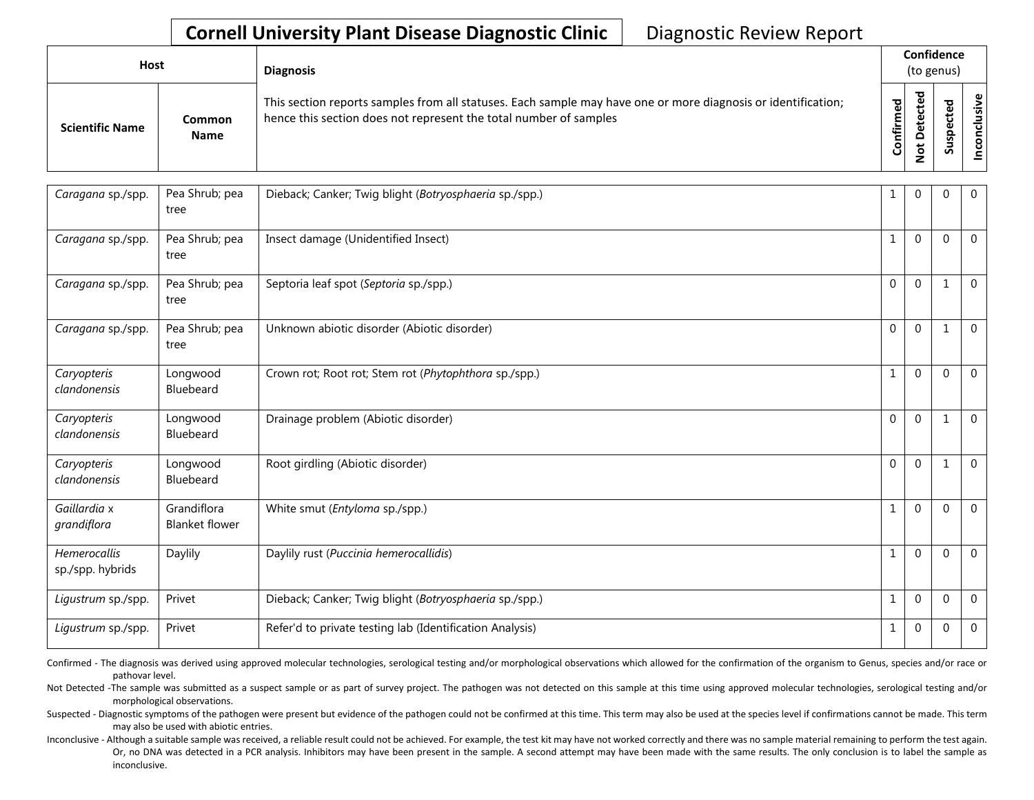## **Cornell University Plant Disease Diagnostic Clinic** | Diagnostic Review Report

| Host                   |                       | <b>Diagnosis</b>                                                                                                                                                                   |                              | Confidence<br>(to genus)                     |                                              |                |
|------------------------|-----------------------|------------------------------------------------------------------------------------------------------------------------------------------------------------------------------------|------------------------------|----------------------------------------------|----------------------------------------------|----------------|
| <b>Scientific Name</b> | Common<br><b>Name</b> | This section reports samples from all statuses. Each sample may have one or more diagnosis or identification;<br>hence this section does not represent the total number of samples | ිත<br>ම<br>튙<br>$\circ$<br>Ō | ਠ<br>ق<br>τ<br>₿<br>Φ<br>۵<br>$\overline{5}$ | ਠ<br>$\mathbf{Q}$<br>ω<br>ᇟ<br>s<br><u>.</u> | ഁ<br>ـــ<br>ທ່ |

| Caragana sp./spp.                | Pea Shrub; pea<br>tree               | Dieback; Canker; Twig blight (Botryosphaeria sp./spp.)   |              | $\mathbf{0}$ | $\Omega$     | $\mathbf 0$    |
|----------------------------------|--------------------------------------|----------------------------------------------------------|--------------|--------------|--------------|----------------|
| Caragana sp./spp.                | Pea Shrub; pea<br>tree               | Insect damage (Unidentified Insect)                      |              | $\Omega$     | $\Omega$     | $\mathbf 0$    |
| Caragana sp./spp.                | Pea Shrub; pea<br>tree               | Septoria leaf spot (Septoria sp./spp.)                   | $\Omega$     | $\Omega$     |              | $\overline{0}$ |
| Caragana sp./spp.                | Pea Shrub; pea<br>tree               | Unknown abiotic disorder (Abiotic disorder)              | $\mathbf{0}$ | $\mathbf{0}$ | $\mathbf{1}$ | $\overline{0}$ |
| Caryopteris<br>clandonensis      | Longwood<br>Bluebeard                | Crown rot; Root rot; Stem rot (Phytophthora sp./spp.)    | 1            | $\Omega$     | $\Omega$     | $\mathbf 0$    |
| Caryopteris<br>clandonensis      | Longwood<br>Bluebeard                | Drainage problem (Abiotic disorder)                      | $\mathbf{0}$ | $\mathbf{0}$ | 1            | $\mathbf 0$    |
| Caryopteris<br>clandonensis      | Longwood<br>Bluebeard                | Root girdling (Abiotic disorder)                         | $\mathbf{0}$ | $\mathbf{0}$ |              | $\mathbf 0$    |
| Gaillardia x<br>grandiflora      | Grandiflora<br><b>Blanket flower</b> | White smut (Entyloma sp./spp.)                           | $\mathbf{1}$ | $\mathbf{0}$ | $\Omega$     | $\mathbf 0$    |
| Hemerocallis<br>sp./spp. hybrids | Daylily                              | Daylily rust (Puccinia hemerocallidis)                   |              | $\mathbf{0}$ | $\Omega$     | $\overline{0}$ |
| Ligustrum sp./spp.               | Privet                               | Dieback; Canker; Twig blight (Botryosphaeria sp./spp.)   | 1            | $\mathbf{0}$ | $\Omega$     | $\mathbf 0$    |
| Ligustrum sp./spp.               | Privet                               | Refer'd to private testing lab (Identification Analysis) | 1            | $\mathbf{0}$ | $\mathbf 0$  | $\overline{0}$ |

Confirmed - The diagnosis was derived using approved molecular technologies, serological testing and/or morphological observations which allowed for the confirmation of the organism to Genus, species and/or race or pathovar level.

Not Detected -The sample was submitted as a suspect sample or as part of survey project. The pathogen was not detected on this sample at this time using approved molecular technologies, serological testing and/or morphological observations.

Suspected - Diagnostic symptoms of the pathogen were present but evidence of the pathogen could not be confirmed at this time. This term may also be used at the species level if confirmations cannot be made. This term may also be used with abiotic entries.

Inconclusive - Although a suitable sample was received, a reliable result could not be achieved. For example, the test kit may have not worked correctly and there was no sample material remaining to perform the test again. Or, no DNA was detected in a PCR analysis. Inhibitors may have been present in the sample. A second attempt may have been made with the same results. The only conclusion is to label the sample as inconclusive.